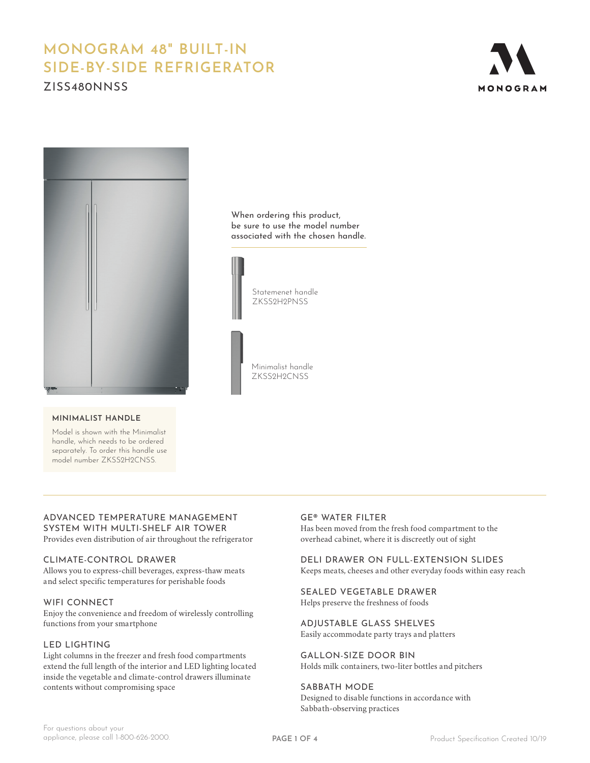# **MONOGRAM 48" BUILT-IN SIDE-BY-SIDE REFRIGERATOR**

ZISS480NNSS





#### **MINIMALIST HANDLE**

Model is shown with the Minimalist handle, which needs to be ordered separately. To order this handle use model number ZKSS2H2CNSS.

#### When ordering this product, be sure to use the model number associated with the chosen handle.



Statemenet handle ZKSS2H2PNSS

Minimalist handle ZKSS2H2CNSS

# ADVANCED TEMPERATURE MANAGEMENT SYSTEM WITH MULTI-SHELF AIR TOWER

Provides even distribution of air throughout the refrigerator

#### CLIMATE-CONTROL DRAWER

Allows you to express-chill beverages, express-thaw meats and select specific temperatures for perishable foods

#### WIFI CONNECT

Enjoy the convenience and freedom of wirelessly controlling functions from your smartphone

#### LED LIGHTING

Light columns in the freezer and fresh food compartments extend the full length of the interior and LED lighting located inside the vegetable and climate-control drawers illuminate contents without compromising space

#### GE® WATER FILTER

Has been moved from the fresh food compartment to the overhead cabinet, where it is discreetly out of sight

#### DELI DRAWER ON FULL-EXTENSION SLIDES Keeps meats, cheeses and other everyday foods within easy reach

SEALED VEGETABLE DRAWER

Helps preserve the freshness of foods

ADJUSTABLE GLASS SHELVES

Easily accommodate party trays and platters

GALLON-SIZE DOOR BIN

Holds milk containers, two-liter bottles and pitchers

SABBATH MODE Designed to disable functions in accordance with Sabbath-observing practices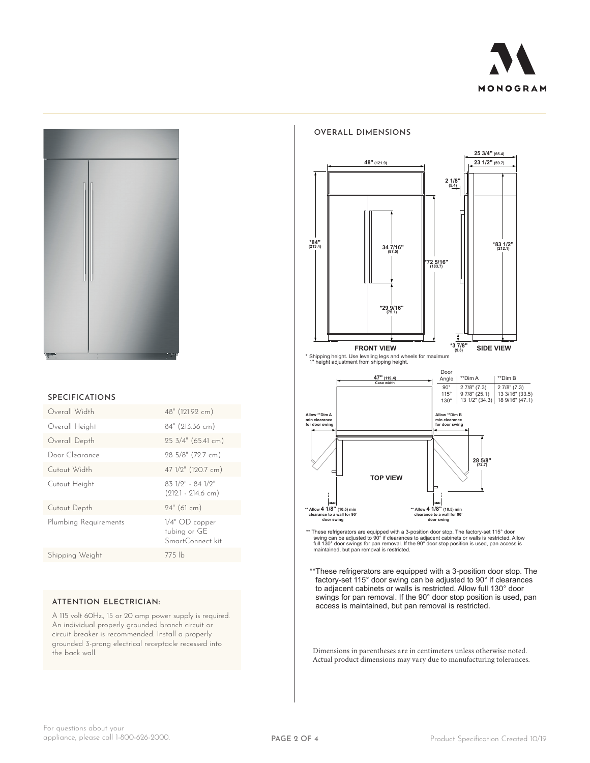



#### **SPECIFICATIONS**

| Overall Width         | 48" (121.92 cm)                                      |
|-----------------------|------------------------------------------------------|
| Overall Height        | 84" (213.36 cm)                                      |
| Overall Depth         | $25 \frac{3}{4}$ (65.41 cm)                          |
| Door Clearance        | 28 5/8" (72.7 cm)                                    |
| Cutout Width          | 47 1/2" (120.7 cm)                                   |
| Cutout Height         | 83 1/9" - 84 1/9"<br>$(212.1 - 214.6$ cm)            |
| Cutout Depth          | $24"$ (61 cm)                                        |
| Plumbing Requirements | $1/4"$ OD copper<br>tubing or GE<br>SmartConnect kit |
| Shipping Weight       | $775$ lb                                             |
|                       |                                                      |

### **ATTENTION ELECTRICIAN:**

A 115 volt 60Hz., 15 or 20 amp power supply is required. An individual properly grounded branch circuit or circuit breaker is recommended. Install a properly grounded 3-prong electrical receptacle recessed into the back wall.



**OVERALL DIMENSIONS**



\*\* These refrigerators are equipped with a 3-position door stop. The factory-set 115° door<br>swing can be adjusted to 90° if clearances to adjacent cabinets or walls is restricted. Allow<br>full 130° door swings for pan removal

\*\*These refrigerators are equipped with a 3-position door stop. The factory-set 115° door swing can be adjusted to 90° if clearances to adjacent cabinets or walls is restricted. Allow full 130° door swings for pan removal. If the 90° door stop position is used, pan access is maintained, but pan removal is restricted.

Dimensions in parentheses are in centimeters unless otherwise noted. Actual product dimensions may vary due to manufacturing tolerances.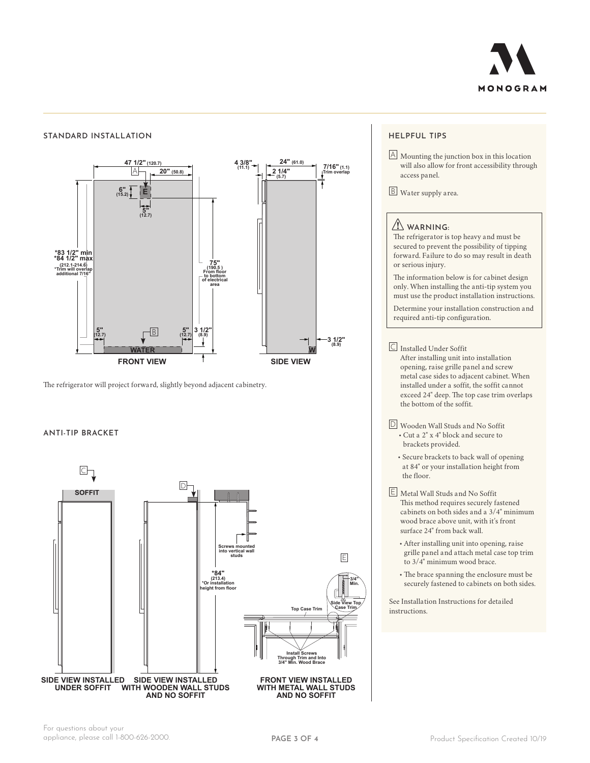

#### **2 1/4" (5.7) 4 3/8" (11.1) 7/16" (1.1) Trim overlap \*83 1/2" min \*84 1/2" max (212.1-214.6) \*Trim will overlap additional 7/16" 8** 1/2"<br>(8.9) **From floor to bottom of electrical area FRONT VIEW SIDE VIEW W 24" (61.0)**  $1/4"$ **4 3/8" (11.1) 7/16" (1.1) Trim overlap 3 1/2" (8.9) E WATER 47 1/2" (120.7) 20" (50.8) \*83 1/2" min \*84 1/2" max (212.1-214.6) \*Trim will overlap additional 7/16" 3 1/2" (8.9) 75" (190.5 ) From floor to bottom of electrical area 6" (15.2)**  $\frac{5}{6}$ <br>(12.7) **5" (12.7) 5" (12.7)** A B **STANDARD INSTALLATION**

The refrigerator will project forward, slightly beyond adjacent cabinetry.

#### **FRONT VIEW SIDE VIEW SOFFIT ANTI-TIP BRACKET**



## **HELPFUL TIPS**

 $\Box$  Mounting the junction box in this location will also allow for front accessibility through access panel.

B Water supply area.

# **WARNING:**

The refrigerator is top heavy and must be secured to prevent the possibility of tipping forward. Failure to do so may result in death or serious injury.

The information below is for cabinet design only. When installing the anti-tip system you must use the product installation instructions.

Determine your installation construction and required anti-tip configuration.

#### C Installed Under Soffit

After installing unit into installation opening, raise grille panel and screw metal case sides to adjacent cabinet. When installed under a soffit, the soffit cannot exceed 24" deep. The top case trim overlaps the bottom of the soffit.

- D Wooden Wall Studs and No Soffit • Cut a 2" x 4" block and secure to brackets provided.
	- Secure brackets to back wall of opening at 84" or your installation height from the floor.
- E Metal Wall Studs and No Soffit This method requires securely fastened cabinets on both sides and a 3/4" minimum wood brace above unit, with it's front surface 24" from back wall.
	- After installing unit into opening, raise grille panel and attach metal case top trim to 3/4" minimum wood brace.
	- The brace spanning the enclosure must be securely fastened to cabinets on both sides.

See Installation Instructions for detailed instructions.